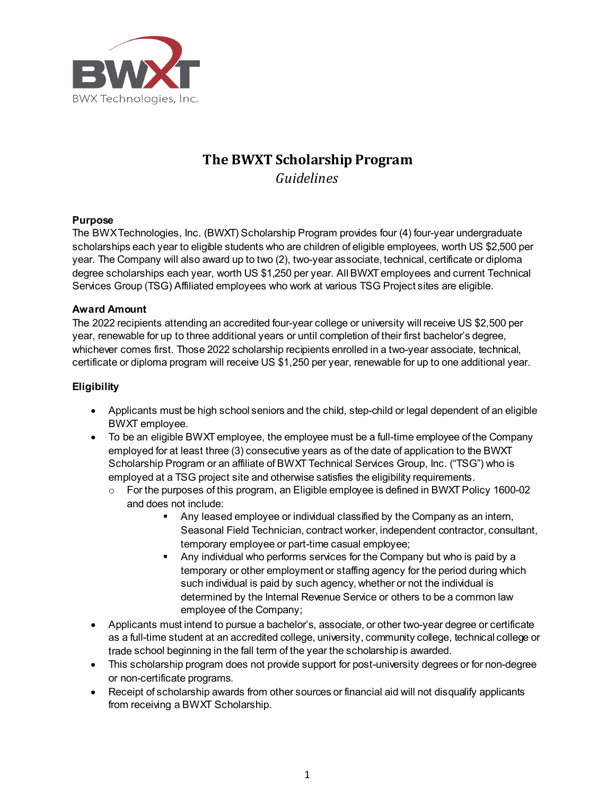

# **The BWXT Scholarship Program** *Guidelines*

# **Purpose**

The BWX Technologies, Inc. (BWXT) Scholarship Program provides four (4) four-year undergraduate scholarships each year to eligible students who are children of eligible employees, worth US \$2,500 per year. The Company will also award up to two (2), two-year associate, technical, certificate or diploma degree scholarships each year, worth US \$1,250 per year. All BWXT employees and current Technical Services Group (TSG) Affiliated employees who work at various TSG Project sites are eligible.

# **Award Amount**

The 2022 recipients attending an accredited four-year college or university will receive US \$2,500 per year, renewable for up to three additional years or until completion of their first bachelor's degree, whichever comes first. Those 2022 scholarship recipients enrolled in a two-year associate, technical, certificate or diploma program will receive US \$1,250 per year, renewable for up to one additional year.

# **Eligibility**

- Applicants must be high school seniors and the child, step-child or legal dependent of an eligible BWXT employee.
- To be an eligible BWXT employee, the employee must be a full-time employee of the Company employed for at least three (3) consecutive years as of the date of application to the BWXT Scholarship Program or an affiliate of BWXT Technical Services Group, Inc. ("TSG") who is employed at a TSG project site and otherwise satisfies the eligibility requirements.
	- o For the purposes of this program, an Eligible employee is defined in BWXT Policy 1600-02 and does not include:
		- Any leased employee or individual classified by the Company as an intern, Seasonal Field Technician, contract worker, independent contractor, consultant, temporary employee or part-time casual employee;
		- Any individual who performs services for the Company but who is paid by a temporary or other employment or staffing agency for the period during which such individual is paid by such agency, whether or not the individual is determined by the Internal Revenue Service or others to be a common law employee of the Company;
- Applicants must intend to pursue a bachelor's, associate, or other two-year degree or certificate as a full-time student at an accredited college, university, community college, technical college or trade school beginning in the fall term of the year the scholarship is awarded.
- This scholarship program does not provide support for post-university degrees or for non-degree or non-certificate programs.
- Receipt of scholarship awards from other sources or financial aid will not disqualify applicants from receiving a BWXT Scholarship.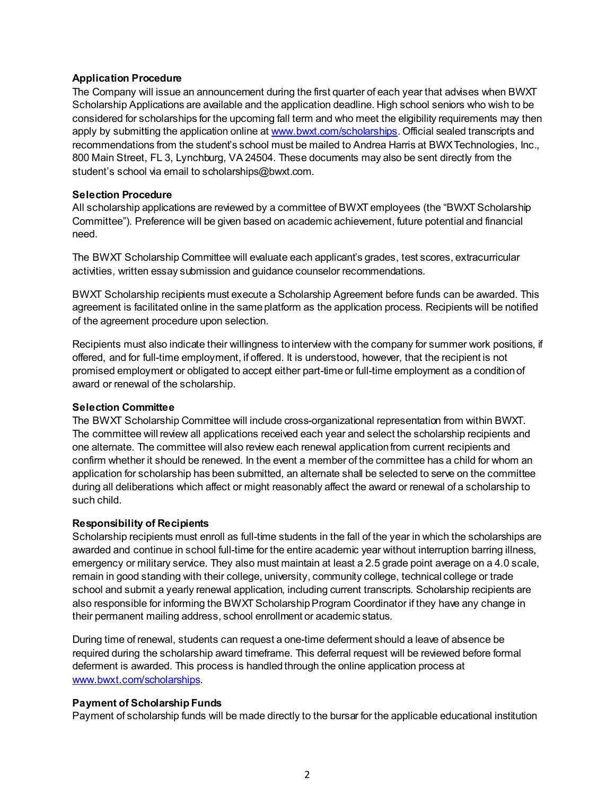# **Application Procedure**

The Company will issue an announcement during the first quarter of each year that advises when BWXT Scholarship Applications are available and the application deadline. High school seniors who wish to be considered for scholarships for the upcoming fall term and who meet the eligibility requirements may then apply by submitting the application online a[t www.bwxt.com/scholarships](file://bwxt/ldt/home/kdmccown/Documents/Documents/Internal%20Comms/Scholarship%20Program/2018%20Scholarship%20Program/www.bwxt.com/scholarships). Official sealed transcripts and recommendations from the student's school must be mailed to Andrea Harris at BWX Technologies, Inc., 800 Main Street, FL 3, Lynchburg, VA 24504. These documents may also be sent directly from the student's school via email to scholarships@bwxt.com.

#### **Selection Procedure**

All scholarship applications are reviewed by a committee of BWXT employees (the "BWXT Scholarship Committee"). Preference will be given based on academic achievement, future potential and financial need.

The BWXT Scholarship Committee will evaluate each applicant's grades, test scores, extracurricular activities, written essay submission and guidance counselor recommendations.

BWXT Scholarship recipients must execute a Scholarship Agreement before funds can be awarded. This agreement is facilitated online in the same platform as the application process. Recipients will be notified of the agreement procedure upon selection.

Recipients must also indicate their willingness to interview with the company for summer work positions, if offered, and for full-time employment, if offered. It is understood, however, that the recipient is not promised employment or obligated to accept either part-time or full-time employment as a condition of award or renewal of the scholarship.

# **Selection Committee**

The BWXT Scholarship Committee will include cross-organizational representation from within BWXT. The committee will review all applications received each year and select the scholarship recipients and one alternate. The committee will also review each renewal application from current recipients and confirm whether it should be renewed. In the event a member of the committee has a child for whom an application for scholarship has been submitted, an alternate shall be selected to serve on the committee during all deliberations which affect or might reasonably affect the award or renewal of a scholarship to such child.

#### **Responsibility of Recipients**

Scholarship recipients must enroll as full-time students in the fall of the year in which the scholarships are awarded and continue in school full-time for the entire academic year without interruption barring illness, emergency or military service. They also must maintain at least a 2.5 grade point average on a 4.0 scale, remain in good standing with their college, university, community college, technical college or trade school and submit a yearly renewal application, including current transcripts. Scholarship recipients are also responsible for informing the BWXT Scholarship Program Coordinator if they have any change in their permanent mailing address, school enrollment or academic status.

During time of renewal, students can request a one-time deferment should a leave of absence be required during the scholarship award timeframe. This deferral request will be reviewed before formal deferment is awarded. This process is handled through the online application process at [www.bwxt.com/scholarships](http://www.bwxt.com/scholarships).

# **Payment of Scholarship Funds**

Payment of scholarship funds will be made directly to the bursar for the applicable educational institution